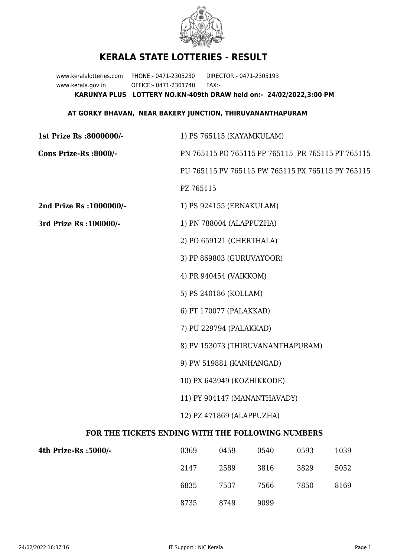

## **KERALA STATE LOTTERIES - RESULT**

www.keralalotteries.com PHONE:- 0471-2305230 DIRECTOR:- 0471-2305193 www.kerala.gov.in OFFICE:- 0471-2301740 FAX:- **KARUNYA PLUS LOTTERY NO.KN-409th DRAW held on:- 24/02/2022,3:00 PM**

## **AT GORKY BHAVAN, NEAR BAKERY JUNCTION, THIRUVANANTHAPURAM**

| 1st Prize Rs :8000000/-                           | 1) PS 765115 (KAYAMKULAM)                                     |                              |      |      |      |  |  |
|---------------------------------------------------|---------------------------------------------------------------|------------------------------|------|------|------|--|--|
| Cons Prize-Rs :8000/-                             | PN 765115 PO 765115 PP 765115 PR 765115 PT 765115             |                              |      |      |      |  |  |
|                                                   | PU 765115 PV 765115 PW 765115 PX 765115 PY 765115             |                              |      |      |      |  |  |
|                                                   | PZ 765115                                                     |                              |      |      |      |  |  |
| 2nd Prize Rs : 1000000/-                          |                                                               | 1) PS 924155 (ERNAKULAM)     |      |      |      |  |  |
| 3rd Prize Rs : 100000/-                           | 1) PN 788004 (ALAPPUZHA)                                      |                              |      |      |      |  |  |
|                                                   | 2) PO 659121 (CHERTHALA)                                      |                              |      |      |      |  |  |
|                                                   | 3) PP 869803 (GURUVAYOOR)                                     |                              |      |      |      |  |  |
|                                                   | 4) PR 940454 (VAIKKOM)<br>5) PS 240186 (KOLLAM)               |                              |      |      |      |  |  |
|                                                   |                                                               |                              |      |      |      |  |  |
|                                                   |                                                               | 6) PT 170077 (PALAKKAD)      |      |      |      |  |  |
|                                                   | 7) PU 229794 (PALAKKAD)                                       |                              |      |      |      |  |  |
|                                                   | 8) PV 153073 (THIRUVANANTHAPURAM)<br>9) PW 519881 (KANHANGAD) |                              |      |      |      |  |  |
|                                                   |                                                               |                              |      |      |      |  |  |
|                                                   | 10) PX 643949 (KOZHIKKODE)                                    |                              |      |      |      |  |  |
|                                                   |                                                               | 11) PY 904147 (MANANTHAVADY) |      |      |      |  |  |
|                                                   | 12) PZ 471869 (ALAPPUZHA)                                     |                              |      |      |      |  |  |
| FOR THE TICKETS ENDING WITH THE FOLLOWING NUMBERS |                                                               |                              |      |      |      |  |  |
| 4th Prize-Rs : 5000/-                             | 0369                                                          | 0459                         | 0540 | 0593 | 1039 |  |  |
|                                                   | 2147                                                          | 2589                         | 3816 | 3829 | 5052 |  |  |

8735 8749 9099

6835 7537 7566 7850 8169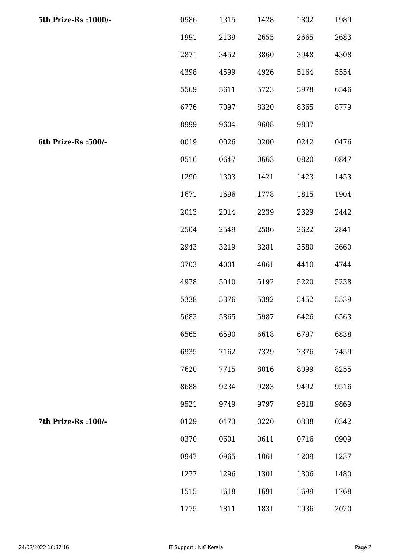| 5th Prize-Rs : 1000/- | 0586 | 1315 | 1428 | 1802 | 1989 |
|-----------------------|------|------|------|------|------|
|                       | 1991 | 2139 | 2655 | 2665 | 2683 |
|                       | 2871 | 3452 | 3860 | 3948 | 4308 |
|                       | 4398 | 4599 | 4926 | 5164 | 5554 |
|                       | 5569 | 5611 | 5723 | 5978 | 6546 |
|                       | 6776 | 7097 | 8320 | 8365 | 8779 |
|                       | 8999 | 9604 | 9608 | 9837 |      |
| 6th Prize-Rs :500/-   | 0019 | 0026 | 0200 | 0242 | 0476 |
|                       | 0516 | 0647 | 0663 | 0820 | 0847 |
|                       | 1290 | 1303 | 1421 | 1423 | 1453 |
|                       | 1671 | 1696 | 1778 | 1815 | 1904 |
|                       | 2013 | 2014 | 2239 | 2329 | 2442 |
|                       | 2504 | 2549 | 2586 | 2622 | 2841 |
|                       | 2943 | 3219 | 3281 | 3580 | 3660 |
|                       | 3703 | 4001 | 4061 | 4410 | 4744 |
|                       | 4978 | 5040 | 5192 | 5220 | 5238 |
|                       | 5338 | 5376 | 5392 | 5452 | 5539 |
|                       | 5683 | 5865 | 5987 | 6426 | 6563 |
|                       | 6565 | 6590 | 6618 | 6797 | 6838 |
|                       | 6935 | 7162 | 7329 | 7376 | 7459 |
|                       | 7620 | 7715 | 8016 | 8099 | 8255 |
|                       | 8688 | 9234 | 9283 | 9492 | 9516 |
|                       | 9521 | 9749 | 9797 | 9818 | 9869 |
| 7th Prize-Rs : 100/-  | 0129 | 0173 | 0220 | 0338 | 0342 |
|                       | 0370 | 0601 | 0611 | 0716 | 0909 |
|                       | 0947 | 0965 | 1061 | 1209 | 1237 |
|                       | 1277 | 1296 | 1301 | 1306 | 1480 |
|                       | 1515 | 1618 | 1691 | 1699 | 1768 |
|                       | 1775 | 1811 | 1831 | 1936 | 2020 |